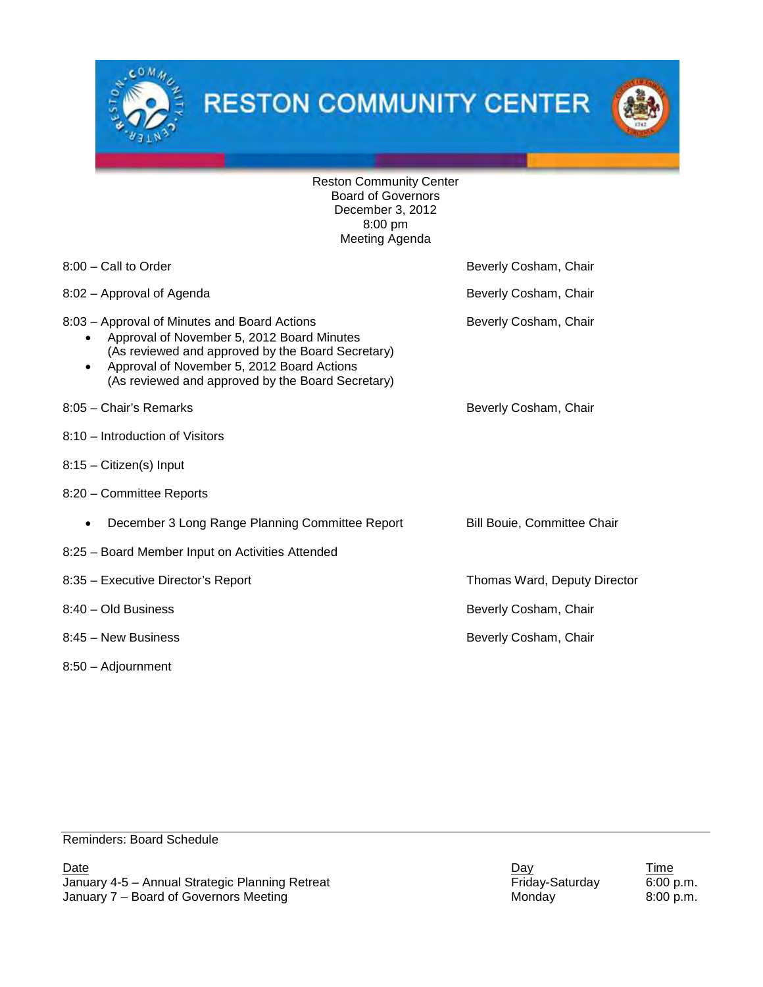



Reston Community Center Board of Governors December 3, 2012 8:00 pm Meeting Agenda

| 8:00 - Call to Order                                                                                                                                                                                                                                                         | Beverly Cosham, Chair        |
|------------------------------------------------------------------------------------------------------------------------------------------------------------------------------------------------------------------------------------------------------------------------------|------------------------------|
| 8:02 - Approval of Agenda                                                                                                                                                                                                                                                    | Beverly Cosham, Chair        |
| 8:03 - Approval of Minutes and Board Actions<br>Approval of November 5, 2012 Board Minutes<br>$\bullet$<br>(As reviewed and approved by the Board Secretary)<br>Approval of November 5, 2012 Board Actions<br>$\bullet$<br>(As reviewed and approved by the Board Secretary) | Beverly Cosham, Chair        |
| 8:05 - Chair's Remarks                                                                                                                                                                                                                                                       | Beverly Cosham, Chair        |
| 8:10 - Introduction of Visitors                                                                                                                                                                                                                                              |                              |
| 8:15 - Citizen(s) Input                                                                                                                                                                                                                                                      |                              |
| 8:20 - Committee Reports                                                                                                                                                                                                                                                     |                              |
| December 3 Long Range Planning Committee Report<br>$\bullet$                                                                                                                                                                                                                 | Bill Bouie, Committee Chair  |
| 8:25 - Board Member Input on Activities Attended                                                                                                                                                                                                                             |                              |
| 8:35 - Executive Director's Report                                                                                                                                                                                                                                           | Thomas Ward, Deputy Director |
| 8:40 - Old Business                                                                                                                                                                                                                                                          | Beverly Cosham, Chair        |
| 8:45 - New Business                                                                                                                                                                                                                                                          | Beverly Cosham, Chair        |
| $8:50 -$ Adjournment                                                                                                                                                                                                                                                         |                              |

Reminders: Board Schedule

January 4-5 – Annual Strategic Planning Retreat Friday-Saturday 6:00 p.m.<br>January 7 – Board of Governors Meeting Friday Friday 1980 p.m. January  $7$  – Board of Governors Meeting

**Date Date Date Contract Contract Contract Contract Contract Contract Contract Contract Contract Contract Contract Contract Contract Contract Contract Contract Contract Contract Contract Contract Contract Contract Co**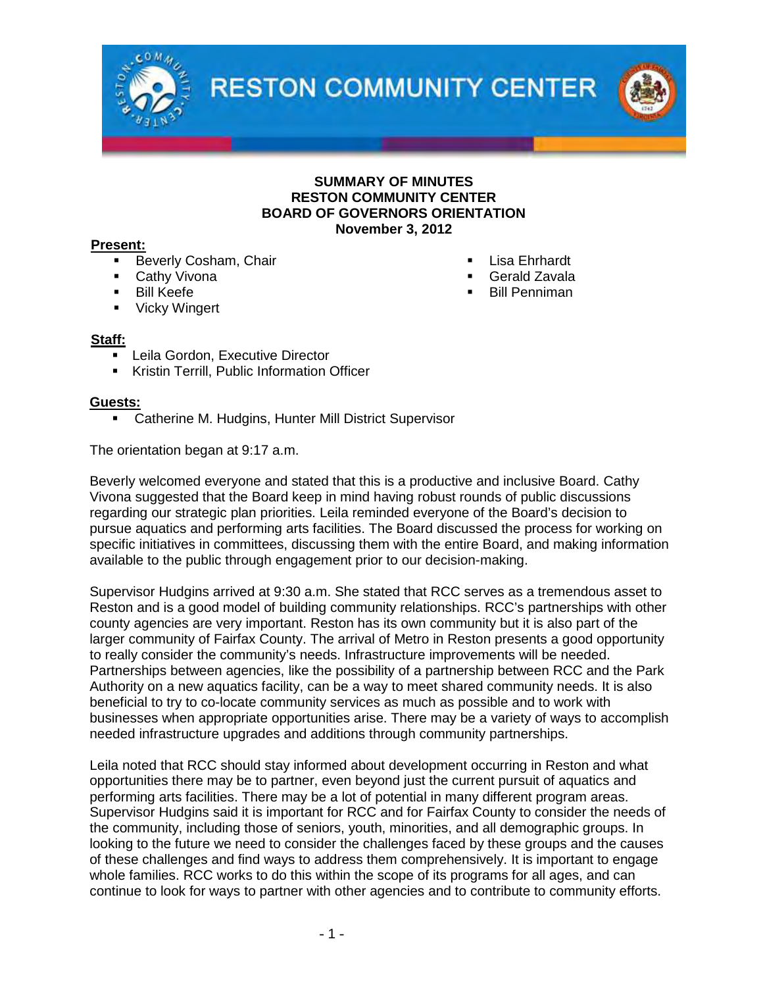

### **SUMMARY OF MINUTES RESTON COMMUNITY CENTER BOARD OF GOVERNORS ORIENTATION November 3, 2012**

### **Present:**

- Beverly Cosham, Chair **Lisa Ehrhardt Lisa Ehrhardt**
- Cathy Vivona **Gerald Zavala**
- 
- **Vicky Wingert**

### **Staff:**

- Leila Gordon, Executive Director
- **Kristin Terrill, Public Information Officer**

### **Guests:**

**EXEC** Catherine M. Hudgins, Hunter Mill District Supervisor

The orientation began at 9:17 a.m.

Beverly welcomed everyone and stated that this is a productive and inclusive Board. Cathy Vivona suggested that the Board keep in mind having robust rounds of public discussions regarding our strategic plan priorities. Leila reminded everyone of the Board's decision to pursue aquatics and performing arts facilities. The Board discussed the process for working on specific initiatives in committees, discussing them with the entire Board, and making information available to the public through engagement prior to our decision-making.

Supervisor Hudgins arrived at 9:30 a.m. She stated that RCC serves as a tremendous asset to Reston and is a good model of building community relationships. RCC's partnerships with other county agencies are very important. Reston has its own community but it is also part of the larger community of Fairfax County. The arrival of Metro in Reston presents a good opportunity to really consider the community's needs. Infrastructure improvements will be needed. Partnerships between agencies, like the possibility of a partnership between RCC and the Park Authority on a new aquatics facility, can be a way to meet shared community needs. It is also beneficial to try to co-locate community services as much as possible and to work with businesses when appropriate opportunities arise. There may be a variety of ways to accomplish needed infrastructure upgrades and additions through community partnerships.

Leila noted that RCC should stay informed about development occurring in Reston and what opportunities there may be to partner, even beyond just the current pursuit of aquatics and performing arts facilities. There may be a lot of potential in many different program areas. Supervisor Hudgins said it is important for RCC and for Fairfax County to consider the needs of the community, including those of seniors, youth, minorities, and all demographic groups. In looking to the future we need to consider the challenges faced by these groups and the causes of these challenges and find ways to address them comprehensively. It is important to engage whole families. RCC works to do this within the scope of its programs for all ages, and can continue to look for ways to partner with other agencies and to contribute to community efforts.

- 
- 
- Bill Keefe Bill Penniman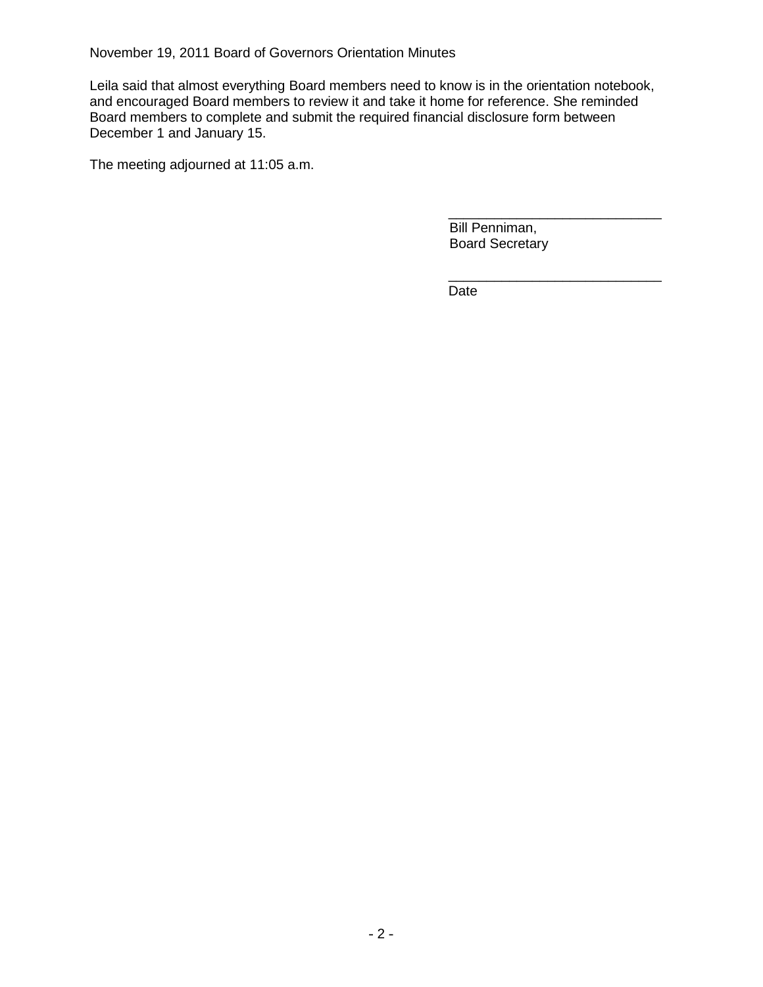November 19, 2011 Board of Governors Orientation Minutes

Leila said that almost everything Board members need to know is in the orientation notebook, and encouraged Board members to review it and take it home for reference. She reminded Board members to complete and submit the required financial disclosure form between December 1 and January 15.

The meeting adjourned at 11:05 a.m.

\_\_\_\_\_\_\_\_\_\_\_\_\_\_\_\_\_\_\_\_\_\_\_\_\_\_\_\_ Bill Penniman, Board Secretary

\_\_\_\_\_\_\_\_\_\_\_\_\_\_\_\_\_\_\_\_\_\_\_\_\_\_\_\_

Date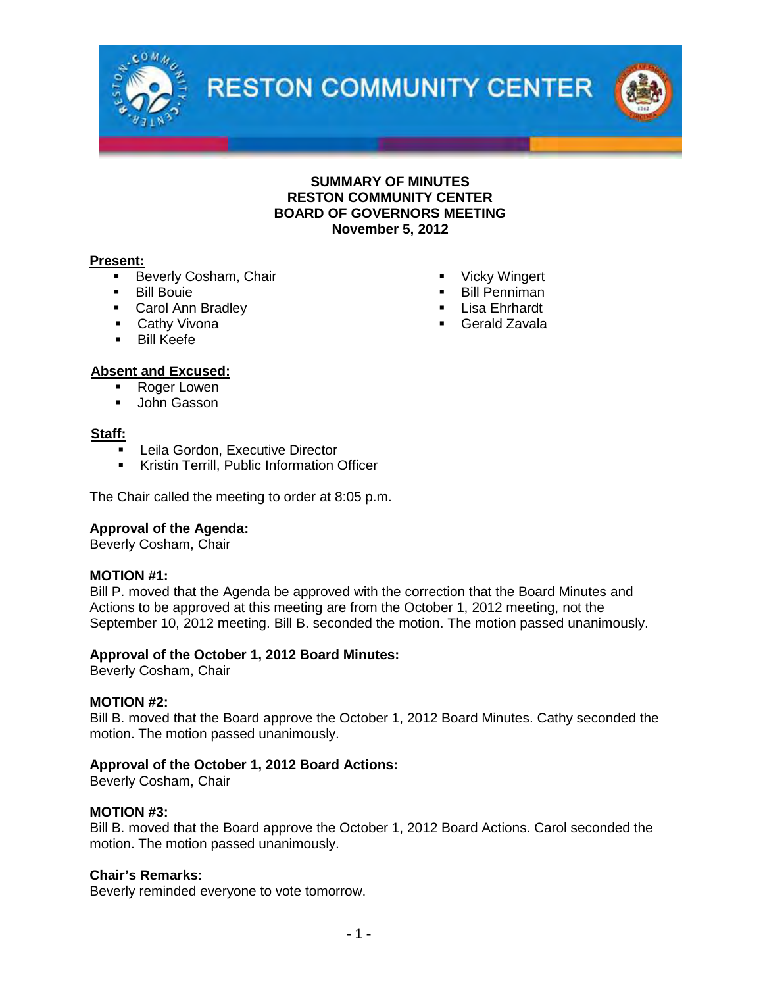

**SUMMARY OF MINUTES RESTON COMMUNITY CENTER BOARD OF GOVERNORS MEETING November 5, 2012**

### **Present:**

- Beverly Cosham, Chair 
Vicky Wingert
- 
- Carol Ann Bradley 
Carol Ann Bradley 
Cathy Vivona
Cathy Vivona
Cerald Zavala
- **Cathy Vivona**
- **Bill Keefe**
- **Bill Bouie <b>Bill Penniman** 
	-
	-

# **Absent and Excused:**

- Roger Lowen
- **John Gasson**

### **Staff:**

- Leila Gordon, Executive Director
- Kristin Terrill, Public Information Officer

The Chair called the meeting to order at 8:05 p.m.

# **Approval of the Agenda:**

Beverly Cosham, Chair

## **MOTION #1:**

Bill P. moved that the Agenda be approved with the correction that the Board Minutes and Actions to be approved at this meeting are from the October 1, 2012 meeting, not the September 10, 2012 meeting. Bill B. seconded the motion. The motion passed unanimously.

### **Approval of the October 1, 2012 Board Minutes:**

Beverly Cosham, Chair

### **MOTION #2:**

Bill B. moved that the Board approve the October 1, 2012 Board Minutes. Cathy seconded the motion. The motion passed unanimously.

## **Approval of the October 1, 2012 Board Actions:**

Beverly Cosham, Chair

### **MOTION #3:**

Bill B. moved that the Board approve the October 1, 2012 Board Actions. Carol seconded the motion. The motion passed unanimously.

### **Chair's Remarks:**

Beverly reminded everyone to vote tomorrow.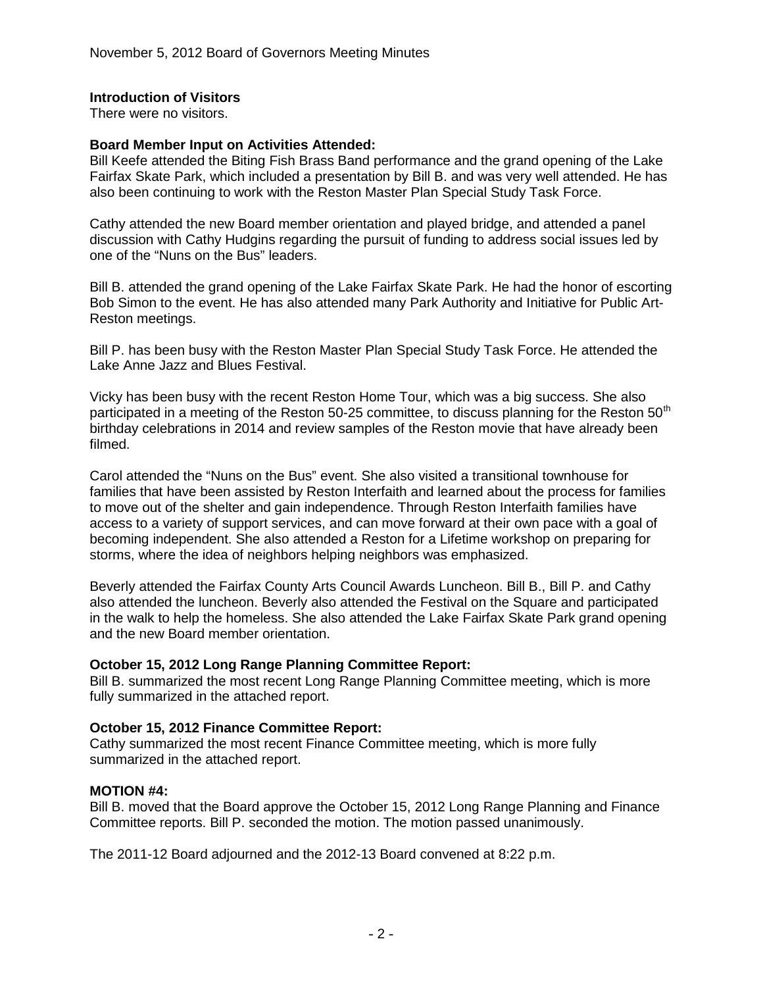# **Introduction of Visitors**

There were no visitors.

## **Board Member Input on Activities Attended:**

Bill Keefe attended the Biting Fish Brass Band performance and the grand opening of the Lake Fairfax Skate Park, which included a presentation by Bill B. and was very well attended. He has also been continuing to work with the Reston Master Plan Special Study Task Force.

Cathy attended the new Board member orientation and played bridge, and attended a panel discussion with Cathy Hudgins regarding the pursuit of funding to address social issues led by one of the "Nuns on the Bus" leaders.

Bill B. attended the grand opening of the Lake Fairfax Skate Park. He had the honor of escorting Bob Simon to the event. He has also attended many Park Authority and Initiative for Public Art-Reston meetings.

Bill P. has been busy with the Reston Master Plan Special Study Task Force. He attended the Lake Anne Jazz and Blues Festival.

Vicky has been busy with the recent Reston Home Tour, which was a big success. She also participated in a meeting of the Reston 50-25 committee, to discuss planning for the Reston 50<sup>th</sup> birthday celebrations in 2014 and review samples of the Reston movie that have already been filmed.

Carol attended the "Nuns on the Bus" event. She also visited a transitional townhouse for families that have been assisted by Reston Interfaith and learned about the process for families to move out of the shelter and gain independence. Through Reston Interfaith families have access to a variety of support services, and can move forward at their own pace with a goal of becoming independent. She also attended a Reston for a Lifetime workshop on preparing for storms, where the idea of neighbors helping neighbors was emphasized.

Beverly attended the Fairfax County Arts Council Awards Luncheon. Bill B., Bill P. and Cathy also attended the luncheon. Beverly also attended the Festival on the Square and participated in the walk to help the homeless. She also attended the Lake Fairfax Skate Park grand opening and the new Board member orientation.

## **October 15, 2012 Long Range Planning Committee Report:**

Bill B. summarized the most recent Long Range Planning Committee meeting, which is more fully summarized in the attached report.

## **October 15, 2012 Finance Committee Report:**

Cathy summarized the most recent Finance Committee meeting, which is more fully summarized in the attached report.

### **MOTION #4:**

Bill B. moved that the Board approve the October 15, 2012 Long Range Planning and Finance Committee reports. Bill P. seconded the motion. The motion passed unanimously.

The 2011-12 Board adjourned and the 2012-13 Board convened at 8:22 p.m.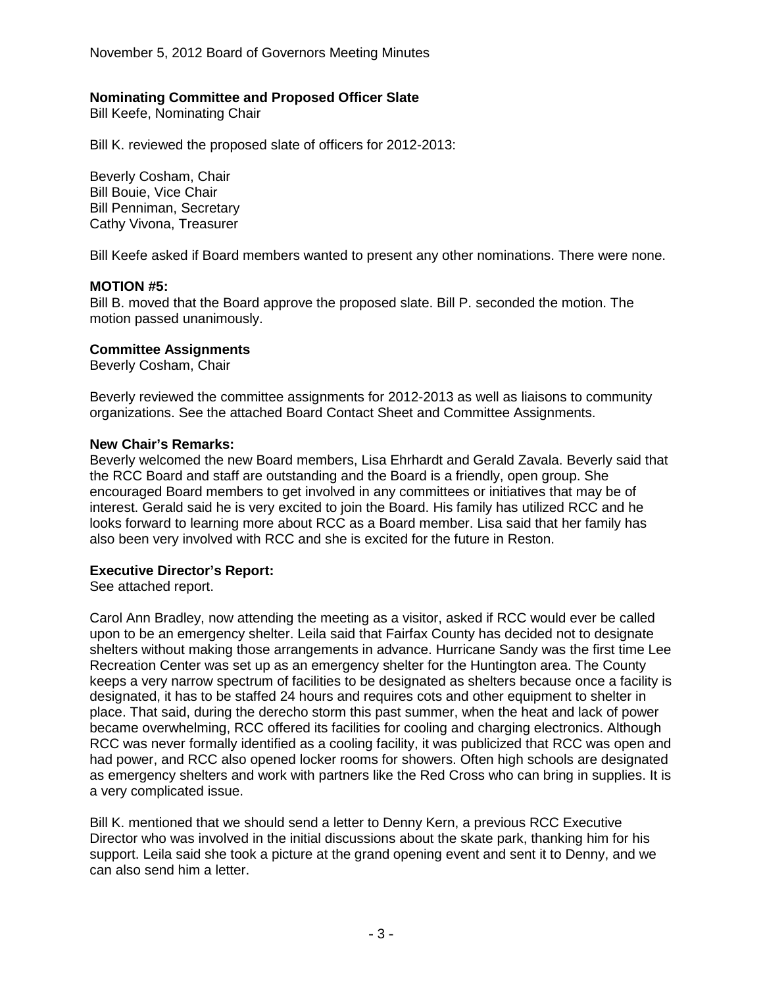November 5, 2012 Board of Governors Meeting Minutes

## **Nominating Committee and Proposed Officer Slate**

Bill Keefe, Nominating Chair

Bill K. reviewed the proposed slate of officers for 2012-2013:

Beverly Cosham, Chair Bill Bouie, Vice Chair Bill Penniman, Secretary Cathy Vivona, Treasurer

Bill Keefe asked if Board members wanted to present any other nominations. There were none.

### **MOTION #5:**

Bill B. moved that the Board approve the proposed slate. Bill P. seconded the motion. The motion passed unanimously.

### **Committee Assignments**

Beverly Cosham, Chair

Beverly reviewed the committee assignments for 2012-2013 as well as liaisons to community organizations. See the attached Board Contact Sheet and Committee Assignments.

#### **New Chair's Remarks:**

Beverly welcomed the new Board members, Lisa Ehrhardt and Gerald Zavala. Beverly said that the RCC Board and staff are outstanding and the Board is a friendly, open group. She encouraged Board members to get involved in any committees or initiatives that may be of interest. Gerald said he is very excited to join the Board. His family has utilized RCC and he looks forward to learning more about RCC as a Board member. Lisa said that her family has also been very involved with RCC and she is excited for the future in Reston.

### **Executive Director's Report:**

See attached report.

Carol Ann Bradley, now attending the meeting as a visitor, asked if RCC would ever be called upon to be an emergency shelter. Leila said that Fairfax County has decided not to designate shelters without making those arrangements in advance. Hurricane Sandy was the first time Lee Recreation Center was set up as an emergency shelter for the Huntington area. The County keeps a very narrow spectrum of facilities to be designated as shelters because once a facility is designated, it has to be staffed 24 hours and requires cots and other equipment to shelter in place. That said, during the derecho storm this past summer, when the heat and lack of power became overwhelming, RCC offered its facilities for cooling and charging electronics. Although RCC was never formally identified as a cooling facility, it was publicized that RCC was open and had power, and RCC also opened locker rooms for showers. Often high schools are designated as emergency shelters and work with partners like the Red Cross who can bring in supplies. It is a very complicated issue.

Bill K. mentioned that we should send a letter to Denny Kern, a previous RCC Executive Director who was involved in the initial discussions about the skate park, thanking him for his support. Leila said she took a picture at the grand opening event and sent it to Denny, and we can also send him a letter.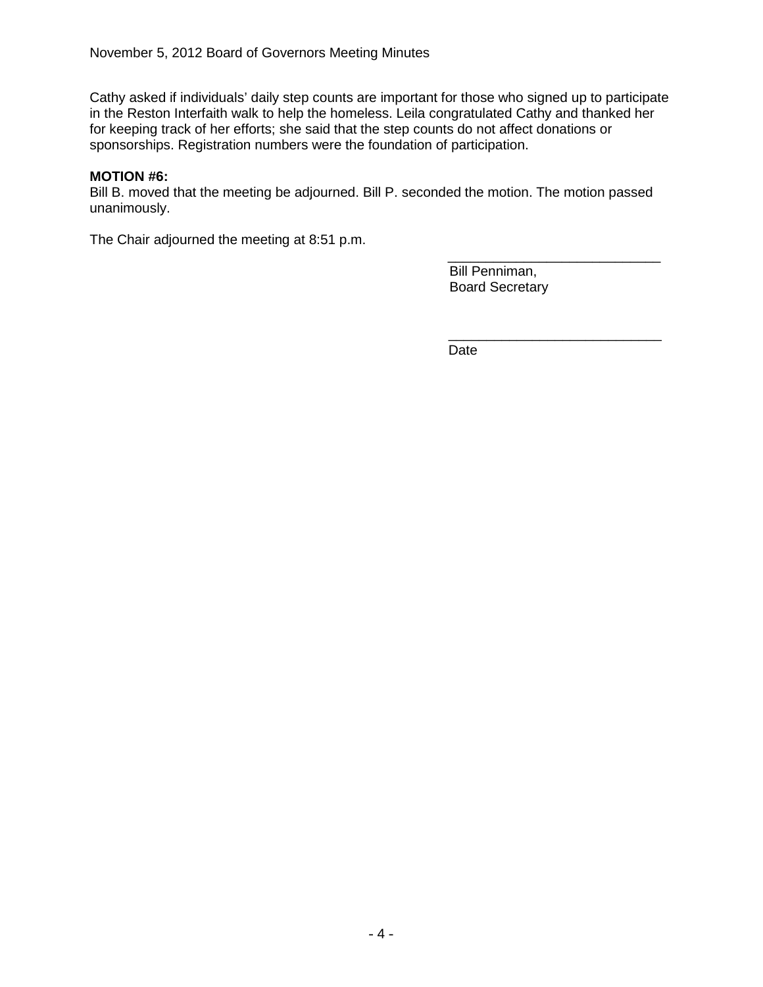Cathy asked if individuals' daily step counts are important for those who signed up to participate in the Reston Interfaith walk to help the homeless. Leila congratulated Cathy and thanked her for keeping track of her efforts; she said that the step counts do not affect donations or sponsorships. Registration numbers were the foundation of participation.

## **MOTION #6:**

Bill B. moved that the meeting be adjourned. Bill P. seconded the motion. The motion passed unanimously.

The Chair adjourned the meeting at 8:51 p.m.

\_\_\_\_\_\_\_\_\_\_\_\_\_\_\_\_\_\_\_\_\_\_\_\_\_\_\_\_ Bill Penniman, Board Secretary

\_\_\_\_\_\_\_\_\_\_\_\_\_\_\_\_\_\_\_\_\_\_\_\_\_\_\_\_

Date